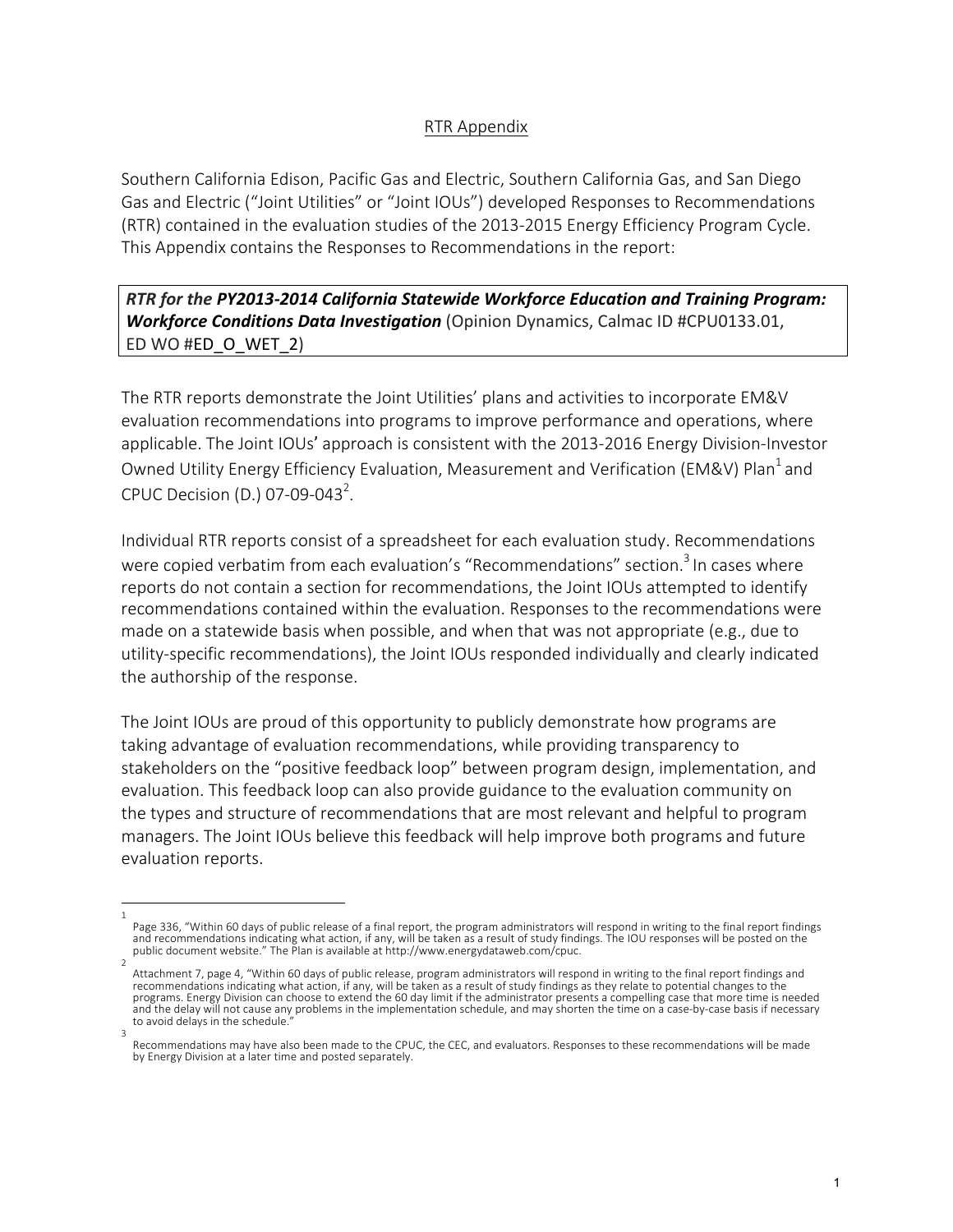## RTR Appendix

Southern California Edison, Pacific Gas and Electric, Southern California Gas, and San Diego Gas and Electric ("Joint Utilities" or "Joint IOUs") developed Responses to Recommendations (RTR) contained in the evaluation studies of the 2013-2015 Energy Efficiency Program Cycle. This Appendix contains the Responses to Recommendations in the report:

## **RTR** for the PY2013-2014 California Statewide Workforce Education and Training Program: **Workforce Conditions Data Investigation** (Opinion Dynamics, Calmac ID #CPU0133.01, ED WO #ED O WET 2)

The RTR reports demonstrate the Joint Utilities' plans and activities to incorporate EM&V evaluation recommendations into programs to improve performance and operations, where applicable. The Joint IOUs' approach is consistent with the 2013-2016 Energy Division-Investor Owned Utility Energy Efficiency Evaluation, Measurement and Verification (EM&V) Plan<sup>1</sup> and CPUC Decision (D.) 07-09-043<sup>2</sup>.

Individual RTR reports consist of a spreadsheet for each evaluation study. Recommendations were copied verbatim from each evaluation's "Recommendations" section.<sup>3</sup> In cases where reports do not contain a section for recommendations, the Joint IOUs attempted to identify recommendations contained within the evaluation. Responses to the recommendations were made on a statewide basis when possible, and when that was not appropriate (e.g., due to utility-specific recommendations), the Joint IOUs responded individually and clearly indicated the authorship of the response.

The Joint IOUs are proud of this opportunity to publicly demonstrate how programs are taking advantage of evaluation recommendations, while providing transparency to stakeholders on the "positive feedback loop" between program design, implementation, and evaluation. This feedback loop can also provide guidance to the evaluation community on the types and structure of recommendations that are most relevant and helpful to program managers. The Joint IOUs believe this feedback will help improve both programs and future evaluation reports.

<sup>1</sup>  Page 336, "Within 60 days of public release of a final report, the program administrators will respond in writing to the final report findings and recommendations indicating what action, if any, will be taken as a result of study findings. The IOU responses will be posted on the<br>public document website." The Plan is available at http://www.energydataweb.com/cpuc.

<sup>2</sup>  Attachment 7, page 4, "Within 60 days of public release, program administrators will respond in writing to the final report findings and recommendations indicating what action, if any, will be taken as a result of study findings as they relate to potential changes to the programs. Energy Division can choose to extend the 60 day limit if the administrator presents a compelling case that more time is needed and the delay will not cause any problems in the implementation schedule, and may shorten the time on a case-by-case basis if necessary to avoid delays in the schedule. 3 

Recommendations may have also been made to the CPUC, the CEC, and evaluators. Responses to these recommendations will be made by Energy Division at a later time and posted separately.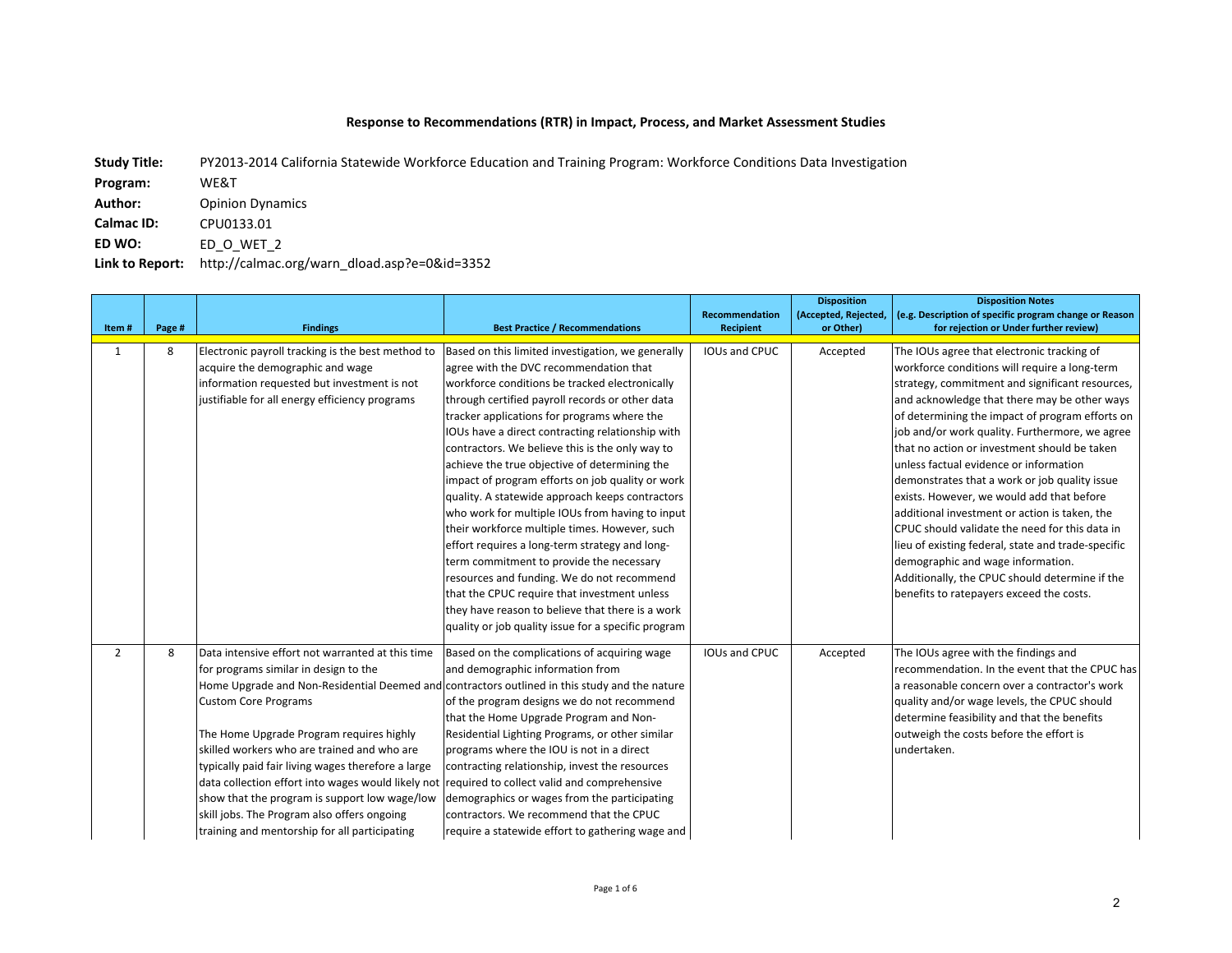## Response to Recommendations (RTR) in Impact, Process, and Market Assessment Studies

Link to Report: http://calmac.org/warn\_dload.asp?e=0&id=3352 **Author:** Opinion Dynamics **Calmac ID:** CPU0133.01 **ED WO:**  ED\_O\_WET\_2 Study Title: PY2013-2014 California Statewide Workforce Education and Training Program: Workforce Conditions Data Investigation **Program:**  WE&T

|                |        |                                                                                                |                                                     |                  | <b>Disposition</b>   | <b>Disposition Notes</b>                               |
|----------------|--------|------------------------------------------------------------------------------------------------|-----------------------------------------------------|------------------|----------------------|--------------------------------------------------------|
|                |        |                                                                                                |                                                     | Recommendation   | (Accepted, Rejected, | (e.g. Description of specific program change or Reason |
| Item#          | Page # | <b>Findings</b>                                                                                | <b>Best Practice / Recommendations</b>              | <b>Recipient</b> | or Other)            | for rejection or Under further review)                 |
| $\mathbf{1}$   | 8      | Electronic payroll tracking is the best method to                                              | Based on this limited investigation, we generally   | IOUs and CPUC    | Accepted             | The IOUs agree that electronic tracking of             |
|                |        | acquire the demographic and wage                                                               | agree with the DVC recommendation that              |                  |                      | workforce conditions will require a long-term          |
|                |        | information requested but investment is not                                                    | workforce conditions be tracked electronically      |                  |                      | strategy, commitment and significant resources,        |
|                |        | justifiable for all energy efficiency programs                                                 | through certified payroll records or other data     |                  |                      | and acknowledge that there may be other ways           |
|                |        |                                                                                                | tracker applications for programs where the         |                  |                      | of determining the impact of program efforts on        |
|                |        |                                                                                                | IOUs have a direct contracting relationship with    |                  |                      | job and/or work quality. Furthermore, we agree         |
|                |        |                                                                                                | contractors. We believe this is the only way to     |                  |                      | that no action or investment should be taken           |
|                |        |                                                                                                | achieve the true objective of determining the       |                  |                      | unless factual evidence or information                 |
|                |        |                                                                                                | impact of program efforts on job quality or work    |                  |                      | demonstrates that a work or job quality issue          |
|                |        |                                                                                                | quality. A statewide approach keeps contractors     |                  |                      | exists. However, we would add that before              |
|                |        |                                                                                                | who work for multiple IOUs from having to input     |                  |                      | additional investment or action is taken, the          |
|                |        |                                                                                                | their workforce multiple times. However, such       |                  |                      | CPUC should validate the need for this data in         |
|                |        |                                                                                                | effort requires a long-term strategy and long-      |                  |                      | lieu of existing federal, state and trade-specific     |
|                |        |                                                                                                | term commitment to provide the necessary            |                  |                      | demographic and wage information.                      |
|                |        |                                                                                                | resources and funding. We do not recommend          |                  |                      | Additionally, the CPUC should determine if the         |
|                |        |                                                                                                | that the CPUC require that investment unless        |                  |                      | benefits to ratepayers exceed the costs.               |
|                |        |                                                                                                | they have reason to believe that there is a work    |                  |                      |                                                        |
|                |        |                                                                                                | quality or job quality issue for a specific program |                  |                      |                                                        |
| $\overline{2}$ | 8      | Data intensive effort not warranted at this time                                               | Based on the complications of acquiring wage        | IOUs and CPUC    | Accepted             | The IOUs agree with the findings and                   |
|                |        | for programs similar in design to the                                                          | and demographic information from                    |                  |                      | recommendation. In the event that the CPUC has         |
|                |        | Home Upgrade and Non-Residential Deemed and contractors outlined in this study and the nature  |                                                     |                  |                      | a reasonable concern over a contractor's work          |
|                |        | <b>Custom Core Programs</b>                                                                    | of the program designs we do not recommend          |                  |                      | quality and/or wage levels, the CPUC should            |
|                |        |                                                                                                | that the Home Upgrade Program and Non-              |                  |                      | determine feasibility and that the benefits            |
|                |        | The Home Upgrade Program requires highly                                                       | Residential Lighting Programs, or other similar     |                  |                      | outweigh the costs before the effort is                |
|                |        | skilled workers who are trained and who are                                                    | programs where the IOU is not in a direct           |                  |                      | undertaken.                                            |
|                |        | typically paid fair living wages therefore a large                                             | contracting relationship, invest the resources      |                  |                      |                                                        |
|                |        | data collection effort into wages would likely not required to collect valid and comprehensive |                                                     |                  |                      |                                                        |
|                |        | show that the program is support low wage/low                                                  | demographics or wages from the participating        |                  |                      |                                                        |
|                |        | skill jobs. The Program also offers ongoing                                                    | contractors. We recommend that the CPUC             |                  |                      |                                                        |
|                |        | training and mentorship for all participating                                                  |                                                     |                  |                      |                                                        |
|                |        |                                                                                                | require a statewide effort to gathering wage and    |                  |                      |                                                        |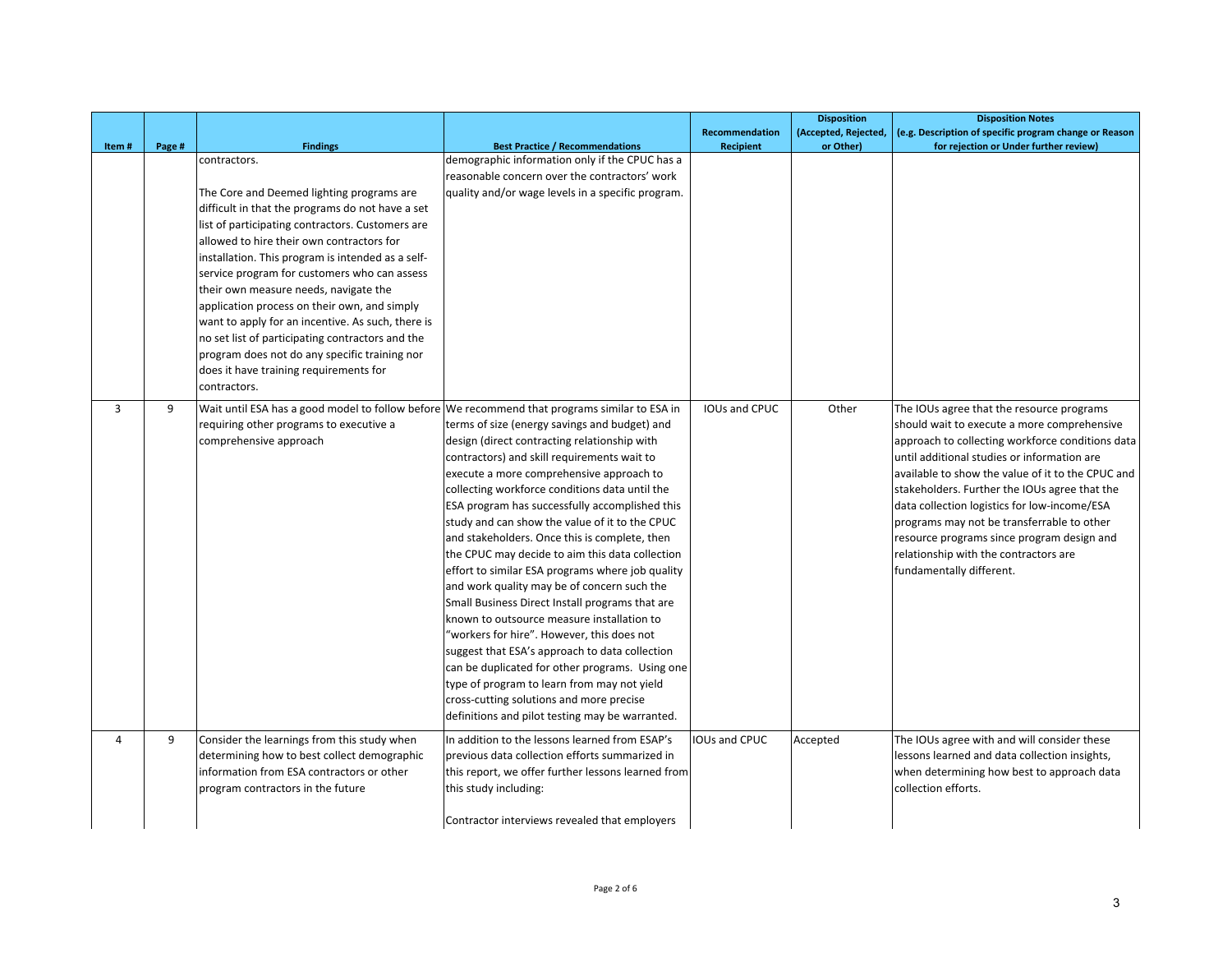|       |        |                                                                                               |                                                                                                  |                       | <b>Disposition</b>   | <b>Disposition Notes</b>                                                                   |
|-------|--------|-----------------------------------------------------------------------------------------------|--------------------------------------------------------------------------------------------------|-----------------------|----------------------|--------------------------------------------------------------------------------------------|
|       |        |                                                                                               |                                                                                                  | <b>Recommendation</b> | (Accepted, Rejected, | (e.g. Description of specific program change or Reason                                     |
| Item# | Page # | <b>Findings</b><br>contractors.                                                               | <b>Best Practice / Recommendations</b><br>demographic information only if the CPUC has a         | Recipient             | or Other)            | for rejection or Under further review)                                                     |
|       |        |                                                                                               | reasonable concern over the contractors' work                                                    |                       |                      |                                                                                            |
|       |        |                                                                                               |                                                                                                  |                       |                      |                                                                                            |
|       |        | The Core and Deemed lighting programs are                                                     | quality and/or wage levels in a specific program.                                                |                       |                      |                                                                                            |
|       |        | difficult in that the programs do not have a set                                              |                                                                                                  |                       |                      |                                                                                            |
|       |        | list of participating contractors. Customers are<br>allowed to hire their own contractors for |                                                                                                  |                       |                      |                                                                                            |
|       |        | installation. This program is intended as a self-                                             |                                                                                                  |                       |                      |                                                                                            |
|       |        | service program for customers who can assess                                                  |                                                                                                  |                       |                      |                                                                                            |
|       |        | their own measure needs, navigate the                                                         |                                                                                                  |                       |                      |                                                                                            |
|       |        | application process on their own, and simply                                                  |                                                                                                  |                       |                      |                                                                                            |
|       |        | want to apply for an incentive. As such, there is                                             |                                                                                                  |                       |                      |                                                                                            |
|       |        | no set list of participating contractors and the                                              |                                                                                                  |                       |                      |                                                                                            |
|       |        | program does not do any specific training nor                                                 |                                                                                                  |                       |                      |                                                                                            |
|       |        | does it have training requirements for                                                        |                                                                                                  |                       |                      |                                                                                            |
|       |        | contractors.                                                                                  |                                                                                                  |                       |                      |                                                                                            |
|       |        |                                                                                               |                                                                                                  |                       |                      |                                                                                            |
| 3     | 9      | Wait until ESA has a good model to follow before We recommend that programs similar to ESA in |                                                                                                  | IOUs and CPUC         | Other                | The IOUs agree that the resource programs                                                  |
|       |        | requiring other programs to executive a                                                       | terms of size (energy savings and budget) and                                                    |                       |                      | should wait to execute a more comprehensive                                                |
|       |        | comprehensive approach                                                                        | design (direct contracting relationship with                                                     |                       |                      | approach to collecting workforce conditions data                                           |
|       |        |                                                                                               | contractors) and skill requirements wait to                                                      |                       |                      | until additional studies or information are                                                |
|       |        |                                                                                               | execute a more comprehensive approach to                                                         |                       |                      | available to show the value of it to the CPUC and                                          |
|       |        |                                                                                               | collecting workforce conditions data until the                                                   |                       |                      | stakeholders. Further the IOUs agree that the                                              |
|       |        |                                                                                               | ESA program has successfully accomplished this<br>study and can show the value of it to the CPUC |                       |                      | data collection logistics for low-income/ESA<br>programs may not be transferrable to other |
|       |        |                                                                                               | and stakeholders. Once this is complete, then                                                    |                       |                      | resource programs since program design and                                                 |
|       |        |                                                                                               | the CPUC may decide to aim this data collection                                                  |                       |                      | relationship with the contractors are                                                      |
|       |        |                                                                                               | effort to similar ESA programs where job quality                                                 |                       |                      | fundamentally different.                                                                   |
|       |        |                                                                                               | and work quality may be of concern such the                                                      |                       |                      |                                                                                            |
|       |        |                                                                                               | Small Business Direct Install programs that are                                                  |                       |                      |                                                                                            |
|       |        |                                                                                               | known to outsource measure installation to                                                       |                       |                      |                                                                                            |
|       |        |                                                                                               | 'workers for hire". However, this does not                                                       |                       |                      |                                                                                            |
|       |        |                                                                                               | suggest that ESA's approach to data collection                                                   |                       |                      |                                                                                            |
|       |        |                                                                                               | can be duplicated for other programs. Using one                                                  |                       |                      |                                                                                            |
|       |        |                                                                                               | type of program to learn from may not yield                                                      |                       |                      |                                                                                            |
|       |        |                                                                                               | cross-cutting solutions and more precise                                                         |                       |                      |                                                                                            |
|       |        |                                                                                               | definitions and pilot testing may be warranted.                                                  |                       |                      |                                                                                            |
| 4     | 9      | Consider the learnings from this study when                                                   | In addition to the lessons learned from ESAP's                                                   | <b>IOUs and CPUC</b>  | Accepted             | The IOUs agree with and will consider these                                                |
|       |        | determining how to best collect demographic                                                   | previous data collection efforts summarized in                                                   |                       |                      | lessons learned and data collection insights,                                              |
|       |        | information from ESA contractors or other                                                     | this report, we offer further lessons learned from                                               |                       |                      | when determining how best to approach data                                                 |
|       |        | program contractors in the future                                                             | this study including:                                                                            |                       |                      | collection efforts.                                                                        |
|       |        |                                                                                               |                                                                                                  |                       |                      |                                                                                            |
|       |        |                                                                                               | Contractor interviews revealed that employers                                                    |                       |                      |                                                                                            |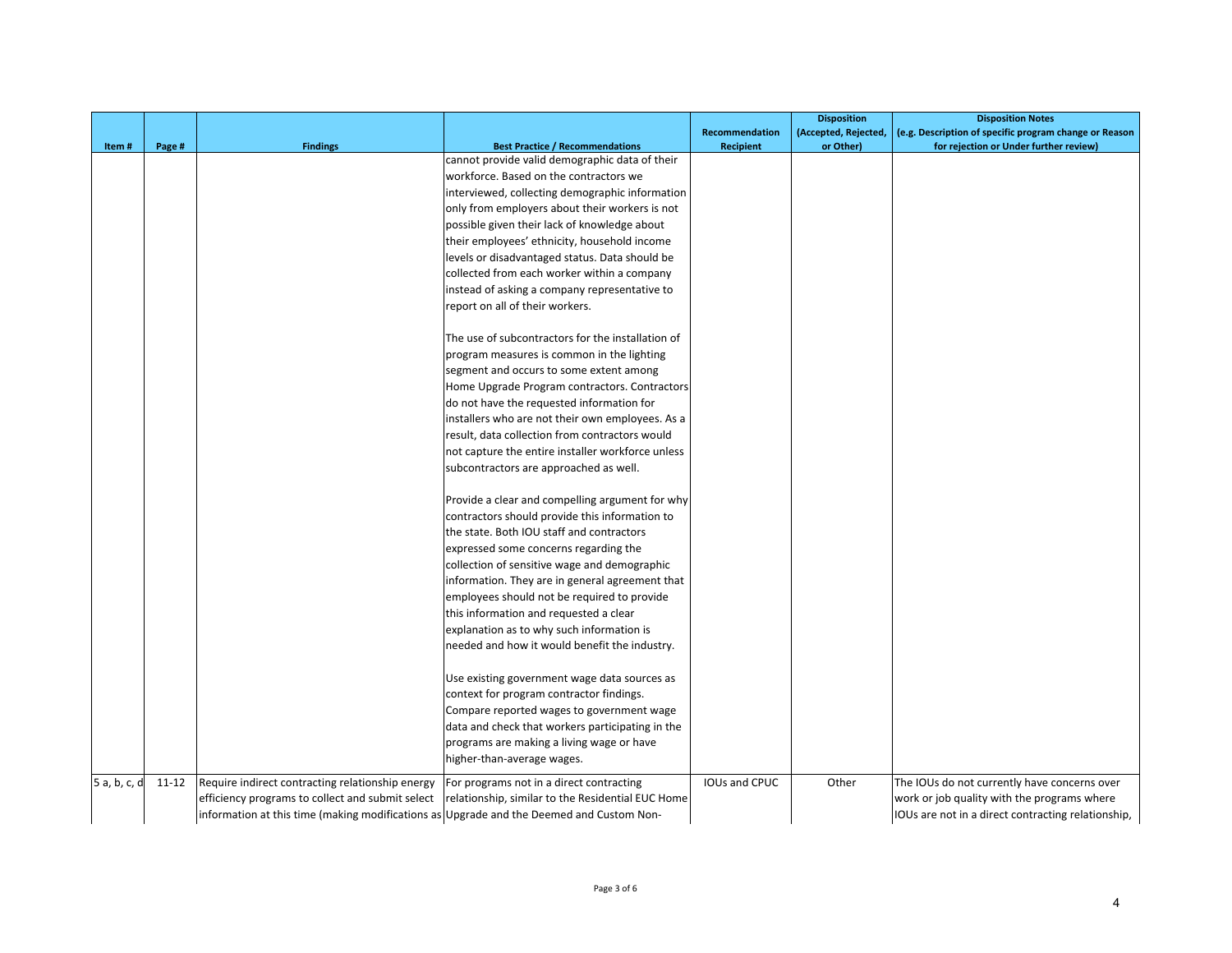|              |           |                                                                                          |                                                   |                       | <b>Disposition</b>   | <b>Disposition Notes</b>                               |
|--------------|-----------|------------------------------------------------------------------------------------------|---------------------------------------------------|-----------------------|----------------------|--------------------------------------------------------|
|              |           |                                                                                          |                                                   | <b>Recommendation</b> | (Accepted, Rejected, | (e.g. Description of specific program change or Reason |
| Item#        | Page #    | <b>Findings</b>                                                                          | <b>Best Practice / Recommendations</b>            | <b>Recipient</b>      | or Other)            | for rejection or Under further review)                 |
|              |           |                                                                                          | cannot provide valid demographic data of their    |                       |                      |                                                        |
|              |           |                                                                                          | workforce. Based on the contractors we            |                       |                      |                                                        |
|              |           |                                                                                          | interviewed, collecting demographic information   |                       |                      |                                                        |
|              |           |                                                                                          | only from employers about their workers is not    |                       |                      |                                                        |
|              |           |                                                                                          | possible given their lack of knowledge about      |                       |                      |                                                        |
|              |           |                                                                                          | their employees' ethnicity, household income      |                       |                      |                                                        |
|              |           |                                                                                          | levels or disadvantaged status. Data should be    |                       |                      |                                                        |
|              |           |                                                                                          | collected from each worker within a company       |                       |                      |                                                        |
|              |           |                                                                                          | instead of asking a company representative to     |                       |                      |                                                        |
|              |           |                                                                                          | report on all of their workers.                   |                       |                      |                                                        |
|              |           |                                                                                          | The use of subcontractors for the installation of |                       |                      |                                                        |
|              |           |                                                                                          | program measures is common in the lighting        |                       |                      |                                                        |
|              |           |                                                                                          | segment and occurs to some extent among           |                       |                      |                                                        |
|              |           |                                                                                          | Home Upgrade Program contractors. Contractors     |                       |                      |                                                        |
|              |           |                                                                                          | do not have the requested information for         |                       |                      |                                                        |
|              |           |                                                                                          | installers who are not their own employees. As a  |                       |                      |                                                        |
|              |           |                                                                                          | result, data collection from contractors would    |                       |                      |                                                        |
|              |           |                                                                                          | not capture the entire installer workforce unless |                       |                      |                                                        |
|              |           |                                                                                          | subcontractors are approached as well.            |                       |                      |                                                        |
|              |           |                                                                                          | Provide a clear and compelling argument for why   |                       |                      |                                                        |
|              |           |                                                                                          | contractors should provide this information to    |                       |                      |                                                        |
|              |           |                                                                                          | the state. Both IOU staff and contractors         |                       |                      |                                                        |
|              |           |                                                                                          | expressed some concerns regarding the             |                       |                      |                                                        |
|              |           |                                                                                          | collection of sensitive wage and demographic      |                       |                      |                                                        |
|              |           |                                                                                          | information. They are in general agreement that   |                       |                      |                                                        |
|              |           |                                                                                          | employees should not be required to provide       |                       |                      |                                                        |
|              |           |                                                                                          | this information and requested a clear            |                       |                      |                                                        |
|              |           |                                                                                          | explanation as to why such information is         |                       |                      |                                                        |
|              |           |                                                                                          | needed and how it would benefit the industry.     |                       |                      |                                                        |
|              |           |                                                                                          | Use existing government wage data sources as      |                       |                      |                                                        |
|              |           |                                                                                          | context for program contractor findings.          |                       |                      |                                                        |
|              |           |                                                                                          | Compare reported wages to government wage         |                       |                      |                                                        |
|              |           |                                                                                          | data and check that workers participating in the  |                       |                      |                                                        |
|              |           |                                                                                          |                                                   |                       |                      |                                                        |
|              |           |                                                                                          | programs are making a living wage or have         |                       |                      |                                                        |
|              |           |                                                                                          | higher-than-average wages.                        |                       |                      |                                                        |
| 5 a, b, c, d | $11 - 12$ | Require indirect contracting relationship energy                                         | For programs not in a direct contracting          | <b>IOUs and CPUC</b>  | Other                | The IOUs do not currently have concerns over           |
|              |           | efficiency programs to collect and submit select                                         | relationship, similar to the Residential EUC Home |                       |                      | work or job quality with the programs where            |
|              |           | information at this time (making modifications as Upgrade and the Deemed and Custom Non- |                                                   |                       |                      | IOUs are not in a direct contracting relationship,     |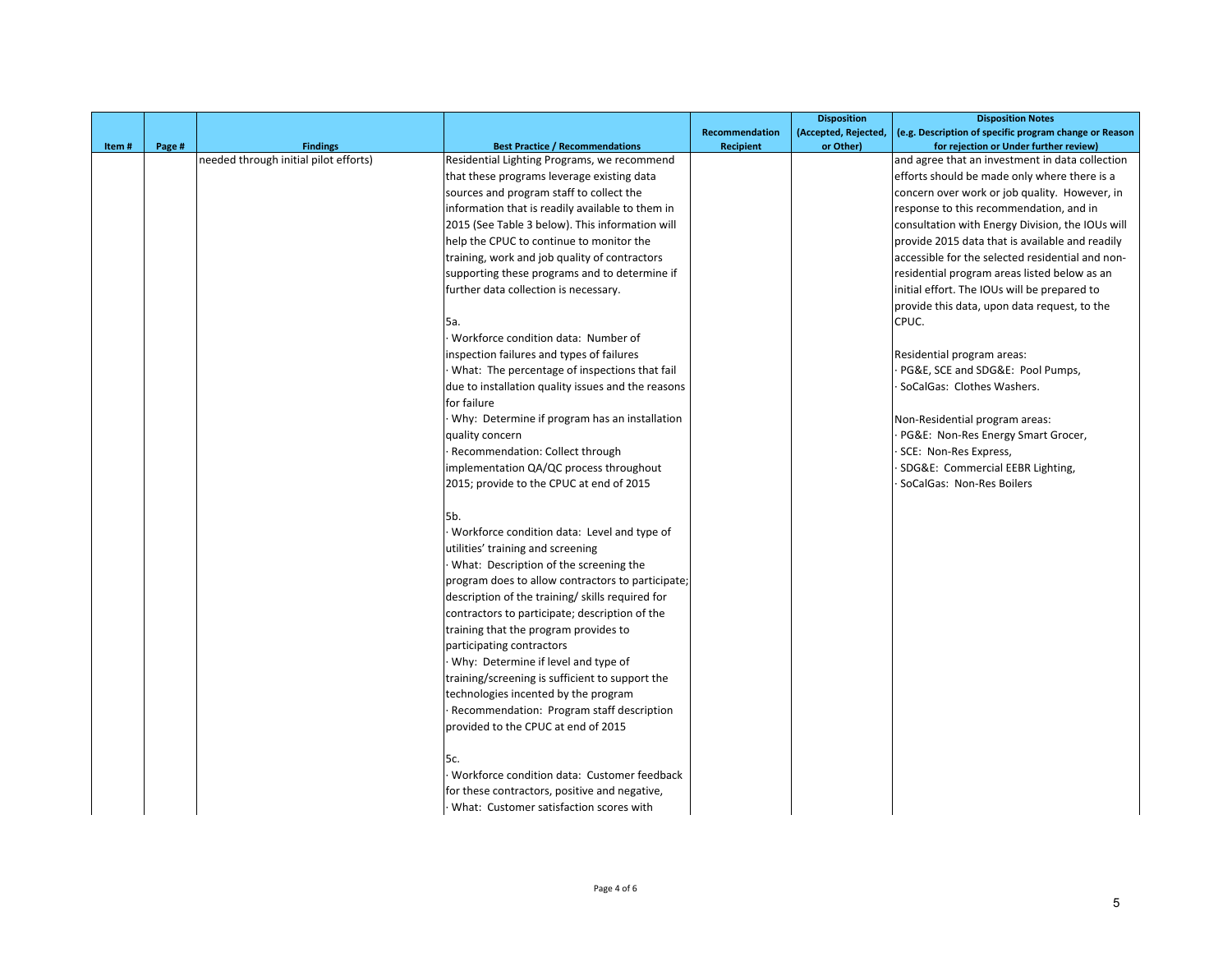|       |        |                                       |                                                    |                       | <b>Disposition</b>   | <b>Disposition Notes</b>                               |
|-------|--------|---------------------------------------|----------------------------------------------------|-----------------------|----------------------|--------------------------------------------------------|
|       |        |                                       |                                                    | <b>Recommendation</b> | (Accepted, Rejected, | (e.g. Description of specific program change or Reason |
| Item# | Page # | <b>Findings</b>                       | <b>Best Practice / Recommendations</b>             | Recipient             | or Other)            | for rejection or Under further review)                 |
|       |        | needed through initial pilot efforts) | Residential Lighting Programs, we recommend        |                       |                      | and agree that an investment in data collection        |
|       |        |                                       | that these programs leverage existing data         |                       |                      | efforts should be made only where there is a           |
|       |        |                                       | sources and program staff to collect the           |                       |                      | concern over work or job quality. However, in          |
|       |        |                                       | information that is readily available to them in   |                       |                      | response to this recommendation, and in                |
|       |        |                                       | 2015 (See Table 3 below). This information will    |                       |                      | consultation with Energy Division, the IOUs will       |
|       |        |                                       | help the CPUC to continue to monitor the           |                       |                      | provide 2015 data that is available and readily        |
|       |        |                                       | training, work and job quality of contractors      |                       |                      | accessible for the selected residential and non-       |
|       |        |                                       | supporting these programs and to determine if      |                       |                      | residential program areas listed below as an           |
|       |        |                                       | further data collection is necessary.              |                       |                      | initial effort. The IOUs will be prepared to           |
|       |        |                                       |                                                    |                       |                      | provide this data, upon data request, to the           |
|       |        |                                       | 5a.                                                |                       |                      | CPUC.                                                  |
|       |        |                                       | Workforce condition data: Number of                |                       |                      |                                                        |
|       |        |                                       | inspection failures and types of failures          |                       |                      | Residential program areas:                             |
|       |        |                                       | What: The percentage of inspections that fail      |                       |                      | PG&E, SCE and SDG&E: Pool Pumps,                       |
|       |        |                                       | due to installation quality issues and the reasons |                       |                      | SoCalGas: Clothes Washers.                             |
|       |        |                                       | for failure                                        |                       |                      |                                                        |
|       |        |                                       | Why: Determine if program has an installation      |                       |                      | Non-Residential program areas:                         |
|       |        |                                       | quality concern                                    |                       |                      | PG&E: Non-Res Energy Smart Grocer,                     |
|       |        |                                       | Recommendation: Collect through                    |                       |                      | SCE: Non-Res Express,                                  |
|       |        |                                       | implementation QA/QC process throughout            |                       |                      | SDG&E: Commercial EEBR Lighting,                       |
|       |        |                                       | 2015; provide to the CPUC at end of 2015           |                       |                      | SoCalGas: Non-Res Boilers                              |
|       |        |                                       |                                                    |                       |                      |                                                        |
|       |        |                                       | 5b.                                                |                       |                      |                                                        |
|       |        |                                       | Workforce condition data: Level and type of        |                       |                      |                                                        |
|       |        |                                       | utilities' training and screening                  |                       |                      |                                                        |
|       |        |                                       | What: Description of the screening the             |                       |                      |                                                        |
|       |        |                                       | program does to allow contractors to participate;  |                       |                      |                                                        |
|       |        |                                       | description of the training/ skills required for   |                       |                      |                                                        |
|       |        |                                       | contractors to participate; description of the     |                       |                      |                                                        |
|       |        |                                       | training that the program provides to              |                       |                      |                                                        |
|       |        |                                       | participating contractors                          |                       |                      |                                                        |
|       |        |                                       | Why: Determine if level and type of                |                       |                      |                                                        |
|       |        |                                       | training/screening is sufficient to support the    |                       |                      |                                                        |
|       |        |                                       | technologies incented by the program               |                       |                      |                                                        |
|       |        |                                       | Recommendation: Program staff description          |                       |                      |                                                        |
|       |        |                                       | provided to the CPUC at end of 2015                |                       |                      |                                                        |
|       |        |                                       |                                                    |                       |                      |                                                        |
|       |        |                                       | 5c.                                                |                       |                      |                                                        |
|       |        |                                       | Workforce condition data: Customer feedback        |                       |                      |                                                        |
|       |        |                                       | for these contractors, positive and negative,      |                       |                      |                                                        |
|       |        |                                       | What: Customer satisfaction scores with            |                       |                      |                                                        |
|       |        |                                       |                                                    |                       |                      |                                                        |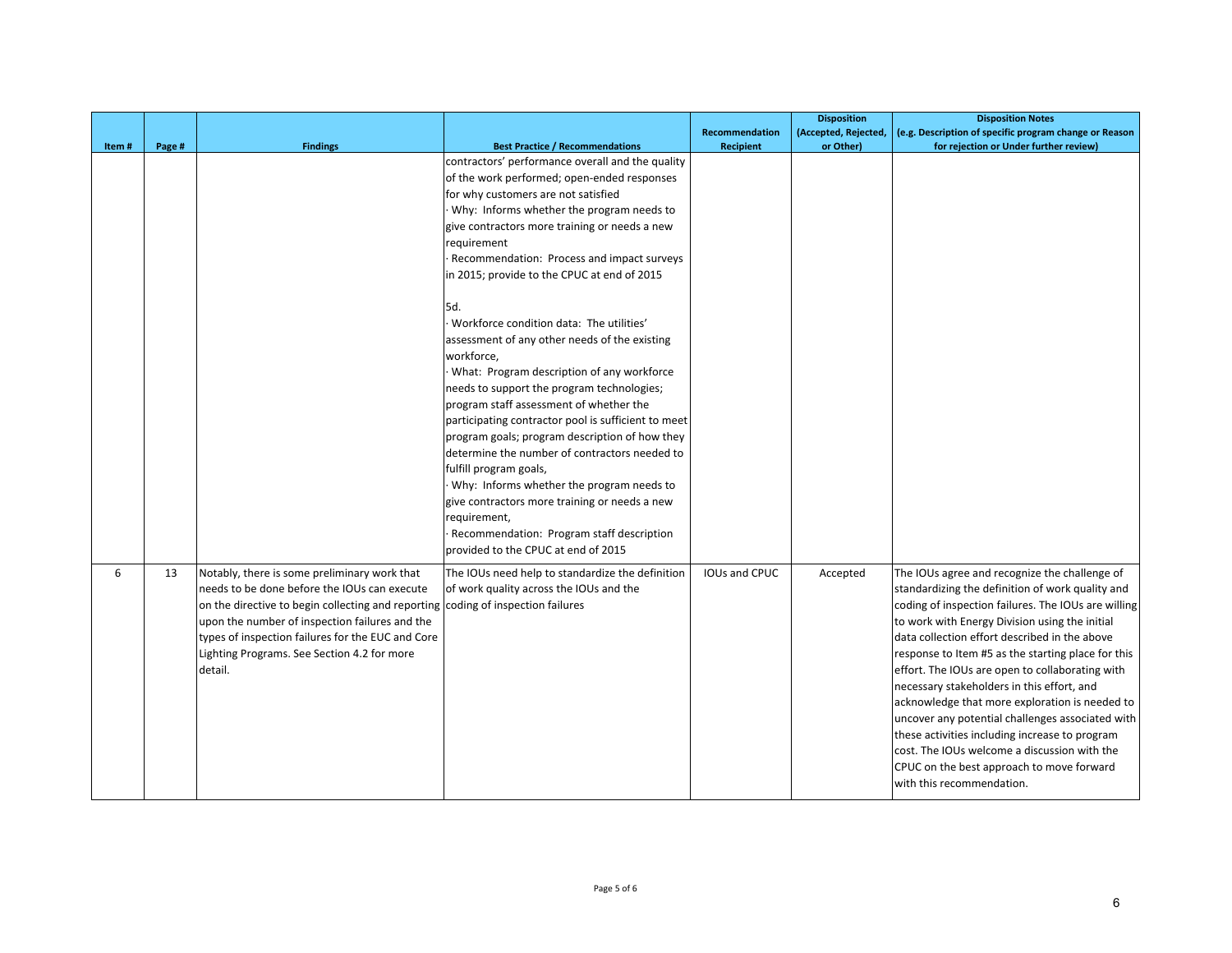|       |        |                                                    |                                                     |                  | <b>Disposition</b>   | <b>Disposition Notes</b>                               |
|-------|--------|----------------------------------------------------|-----------------------------------------------------|------------------|----------------------|--------------------------------------------------------|
|       |        |                                                    |                                                     | Recommendation   | (Accepted, Rejected, | (e.g. Description of specific program change or Reason |
| Item# | Page # | <b>Findings</b>                                    | <b>Best Practice / Recommendations</b>              | <b>Recipient</b> | or Other)            | for rejection or Under further review)                 |
|       |        |                                                    | contractors' performance overall and the quality    |                  |                      |                                                        |
|       |        |                                                    | of the work performed; open-ended responses         |                  |                      |                                                        |
|       |        |                                                    | for why customers are not satisfied                 |                  |                      |                                                        |
|       |        |                                                    | Why: Informs whether the program needs to           |                  |                      |                                                        |
|       |        |                                                    | give contractors more training or needs a new       |                  |                      |                                                        |
|       |        |                                                    | requirement                                         |                  |                      |                                                        |
|       |        |                                                    | Recommendation: Process and impact surveys          |                  |                      |                                                        |
|       |        |                                                    | in 2015; provide to the CPUC at end of 2015         |                  |                      |                                                        |
|       |        |                                                    | 5d.                                                 |                  |                      |                                                        |
|       |        |                                                    | Workforce condition data: The utilities'            |                  |                      |                                                        |
|       |        |                                                    | assessment of any other needs of the existing       |                  |                      |                                                        |
|       |        |                                                    | workforce,                                          |                  |                      |                                                        |
|       |        |                                                    | What: Program description of any workforce          |                  |                      |                                                        |
|       |        |                                                    | needs to support the program technologies;          |                  |                      |                                                        |
|       |        |                                                    | program staff assessment of whether the             |                  |                      |                                                        |
|       |        |                                                    | participating contractor pool is sufficient to meet |                  |                      |                                                        |
|       |        |                                                    | program goals; program description of how they      |                  |                      |                                                        |
|       |        |                                                    | determine the number of contractors needed to       |                  |                      |                                                        |
|       |        |                                                    | fulfill program goals,                              |                  |                      |                                                        |
|       |        |                                                    | Why: Informs whether the program needs to           |                  |                      |                                                        |
|       |        |                                                    | give contractors more training or needs a new       |                  |                      |                                                        |
|       |        |                                                    | requirement,                                        |                  |                      |                                                        |
|       |        |                                                    | Recommendation: Program staff description           |                  |                      |                                                        |
|       |        |                                                    | provided to the CPUC at end of 2015                 |                  |                      |                                                        |
| 6     | 13     | Notably, there is some preliminary work that       | The IOUs need help to standardize the definition    | IOUs and CPUC    | Accepted             | The IOUs agree and recognize the challenge of          |
|       |        | needs to be done before the IOUs can execute       | of work quality across the IOUs and the             |                  |                      | standardizing the definition of work quality and       |
|       |        | on the directive to begin collecting and reporting | coding of inspection failures                       |                  |                      | coding of inspection failures. The IOUs are willing    |
|       |        | upon the number of inspection failures and the     |                                                     |                  |                      | to work with Energy Division using the initial         |
|       |        | types of inspection failures for the EUC and Core  |                                                     |                  |                      | data collection effort described in the above          |
|       |        | Lighting Programs. See Section 4.2 for more        |                                                     |                  |                      | response to Item #5 as the starting place for this     |
|       |        | detail.                                            |                                                     |                  |                      | effort. The IOUs are open to collaborating with        |
|       |        |                                                    |                                                     |                  |                      | necessary stakeholders in this effort, and             |
|       |        |                                                    |                                                     |                  |                      | acknowledge that more exploration is needed to         |
|       |        |                                                    |                                                     |                  |                      | uncover any potential challenges associated with       |
|       |        |                                                    |                                                     |                  |                      | these activities including increase to program         |
|       |        |                                                    |                                                     |                  |                      | cost. The IOUs welcome a discussion with the           |
|       |        |                                                    |                                                     |                  |                      | CPUC on the best approach to move forward              |
|       |        |                                                    |                                                     |                  |                      | with this recommendation.                              |